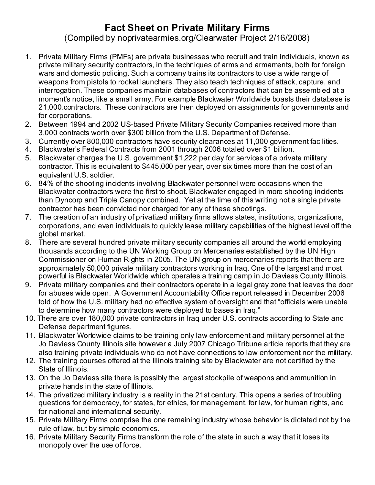## **Fact Sheet on Private Military Firms**

(Compiled by noprivatearmies.org/Clearwater Project 2/16/2008)

- 1. Private Military Firms (PMFs) are private businesses who recruit and train individuals, known as private military security contractors, in the techniques of arms and armaments, both for foreign wars and domestic policing. Such a company trains its contractors to use a wide range of weapons from pistols to rocket launchers. They also teach techniques of attack, capture, and interrogation. These companies maintain databases of contractors that can be assembled at a moment's notice, like a small army. For example Blackwater Worldwide boasts their database is 21,000.contractors. These contractors are then deployed on assignments for governments and for corporations.
- 2. Between 1994 and 2002 US-based Private Military Security Companies received more than 3,000 contracts worth over \$300 billion from the U.S. Department of Defense.
- 3. Currently over 800,000 contractors have security clearances at 11,000 government facilities.
- 4. Blackwater's Federal Contracts from 2001 through 2006 totaled over \$1 billion.
- 5. Blackwater charges the U.S. govemment \$1,222 per day for services of a private military contractor. This is equivalent to \$445,000 per year, over six times more than the cost of an equivalent U.S. soldier.
- 6. 84% of the shooting incidents involving Blackwater personnel were occasions when the Blackwater contractors were the first to shoot. Blackwater engaged in more shooting incidents than Dyncorp and Triple Canopy combined. Yet at the time of this writing not a single private contractor has been convicted nor charged for any of these shootings.
- 7. The creation of an industry of privatized military firms allows states, institutions, organizations, corporations, and even individuals to quickly lease military capabilities of the highest level off the global market.
- 8. There are several hundred private military security companies all around the world employing thousands according to the UN Working Group on Mercenaries established by the UN High Commissioner on Human Rights in 2005. The UN group on mercenaries reports that there are approximately 50,000 private military contractors working in Iraq. One of the largest and most powerful is Blackwater Worldwide which operates a training camp in Jo Daviess County Illinois.
- 9. Private military companies and their contractors operate in a legal gray zone that leaves the door for abuses wide open. A Government Accountability Office report released in December 2006 told of how the U.S. military had no effective system of oversight and that "officials were unable to determine how many contractors were deployed to bases in Iraq."
- 10. There are over 180,000 private contractors in Iraq under U.S. contracts according to State and Defense department figures.
- 11. Blackwater Worldwide claims to be training only law enforcement and military personnel at the Jo Daviess County Illinois site however a July 2007 Chicago Tribune artide reports that they are also training private individuals who do not have connections to law enforcement nor the military.
- 12. The training courses offered at the Illinois training site by Blackwater are not certified by the State of Illinois.
- 13. On the Jo Daviess site there is possibly the largest stockpile of weapons and ammunition in private hands in the state of Illinois.
- 14. The privatized military industry is a reality in the 21st century. This opens a series of troubling questions for democracy, for states, for ethics, for management, for law, for human rights, and for national and international security.
- 15. Private Military Firms comprise the one remaining industry whose behavior is dictated not by the rule of law, but by simple economics.
- 16. Private Military Security Firms transform the role of the state in such a way that it loses its monopoly over the use of force.